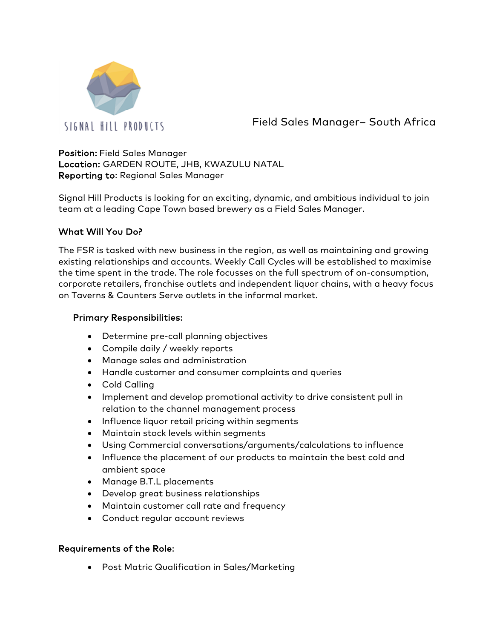

Field Sales Manager– South Africa

Position: Field Sales Manager Location: GARDEN ROUTE, JHB, KWAZULU NATAL Reporting to: Regional Sales Manager

Signal Hill Products is looking for an exciting, dynamic, and ambitious individual to join team at a leading Cape Town based brewery as a Field Sales Manager.

## What Will You Do?

The FSR is tasked with new business in the region, as well as maintaining and growing existing relationships and accounts. Weekly Call Cycles will be established to maximise the time spent in the trade. The role focusses on the full spectrum of on-consumption, corporate retailers, franchise outlets and independent liquor chains, with a heavy focus on Taverns & Counters Serve outlets in the informal market.

## Primary Responsibilities:

- Determine pre-call planning objectives
- Compile daily / weekly reports
- Manage sales and administration
- Handle customer and consumer complaints and queries
- Cold Calling
- Implement and develop promotional activity to drive consistent pull in relation to the channel management process
- Influence liquor retail pricing within segments
- Maintain stock levels within segments
- Using Commercial conversations/arguments/calculations to influence
- Influence the placement of our products to maintain the best cold and ambient space
- Manage B.T.L placements
- Develop great business relationships
- Maintain customer call rate and frequency
- Conduct regular account reviews

## Requirements of the Role:

• Post Matric Qualification in Sales/Marketing